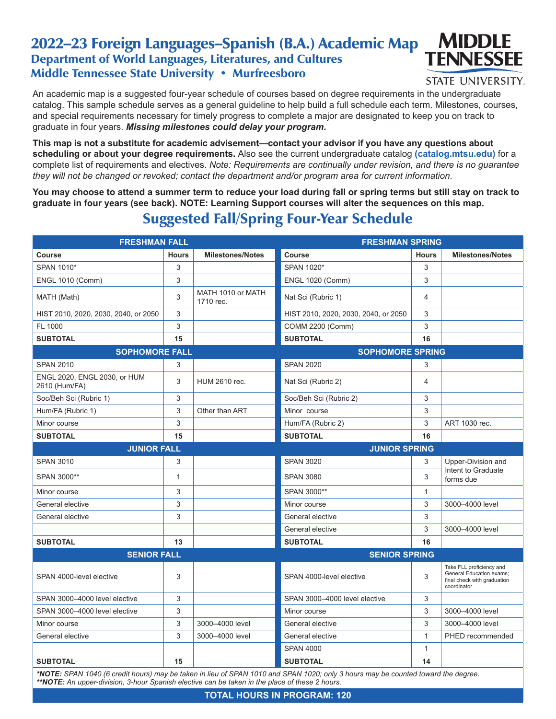## 2022–23 Foreign Languages–Spanish (B.A.) Academic Map Department of World Languages, Literatures, and Cultures Middle Tennessee State University • Murfreesboro



**STATE UNIVERSITY.** 

An academic map is a suggested four-year schedule of courses based on degree requirements in the undergraduate catalog. This sample schedule serves as a general guideline to help build a full schedule each term. Milestones, courses, and special requirements necessary for timely progress to complete a major are designated to keep you on track to graduate in four years. *Missing milestones could delay your program.*

**This map is not a substitute for academic advisement—contact your advisor if you have any questions about scheduling or about your degree requirements.** Also see the current undergraduate catalog **(catalog.mtsu.edu)** for a complete list of requirements and electives. *Note: Requirements are continually under revision, and there is no guarantee they will not be changed or revoked; contact the department and/or program area for current information.*

**You may choose to attend a summer term to reduce your load during fall or spring terms but still stay on track to graduate in four years (see back). NOTE: Learning Support courses will alter the sequences on this map.**

## Suggested Fall/Spring Four-Year Schedule

| <b>FRESHMAN FALL</b>                          |              | <b>FRESHMAN SPRING</b>         |                                      |              |                                                                                                           |  |
|-----------------------------------------------|--------------|--------------------------------|--------------------------------------|--------------|-----------------------------------------------------------------------------------------------------------|--|
| <b>Course</b>                                 | <b>Hours</b> | <b>Milestones/Notes</b>        | Course                               | <b>Hours</b> | <b>Milestones/Notes</b>                                                                                   |  |
| SPAN 1010*                                    | 3            |                                | SPAN 1020*                           | 3            |                                                                                                           |  |
| <b>ENGL 1010 (Comm)</b>                       | 3            |                                | <b>ENGL 1020 (Comm)</b>              | 3            |                                                                                                           |  |
| MATH (Math)                                   | 3            | MATH 1010 or MATH<br>1710 rec. | Nat Sci (Rubric 1)                   | 4            |                                                                                                           |  |
| HIST 2010, 2020, 2030, 2040, or 2050          | 3            |                                | HIST 2010, 2020, 2030, 2040, or 2050 | 3            |                                                                                                           |  |
| FL 1000                                       | 3            |                                | <b>COMM 2200 (Comm)</b>              | 3            |                                                                                                           |  |
| <b>SUBTOTAL</b>                               | 15           |                                | <b>SUBTOTAL</b>                      | 16           |                                                                                                           |  |
| <b>SOPHOMORE FALL</b>                         |              | <b>SOPHOMORE SPRING</b>        |                                      |              |                                                                                                           |  |
| <b>SPAN 2010</b>                              | 3            |                                | <b>SPAN 2020</b>                     | 3            |                                                                                                           |  |
| ENGL 2020, ENGL 2030, or HUM<br>2610 (Hum/FA) | 3            | HUM 2610 rec.                  | Nat Sci (Rubric 2)                   | 4            |                                                                                                           |  |
| Soc/Beh Sci (Rubric 1)                        | 3            |                                | Soc/Beh Sci (Rubric 2)               | 3            |                                                                                                           |  |
| Hum/FA (Rubric 1)                             | 3            | Other than ART                 | Minor course                         | 3            |                                                                                                           |  |
| Minor course                                  | 3            |                                | Hum/FA (Rubric 2)                    | 3            | ART 1030 rec.                                                                                             |  |
| <b>SUBTOTAL</b>                               | 15           |                                | <b>SUBTOTAL</b>                      | 16           |                                                                                                           |  |
| <b>JUNIOR FALL</b>                            |              | <b>JUNIOR SPRING</b>           |                                      |              |                                                                                                           |  |
| <b>SPAN 3010</b>                              | 3            |                                | <b>SPAN 3020</b>                     | 3            | Upper-Division and                                                                                        |  |
| SPAN 3000**                                   | $\mathbf{1}$ |                                | <b>SPAN 3080</b>                     | 3            | Intent to Graduate<br>forms due                                                                           |  |
| Minor course                                  | 3            |                                | SPAN 3000**                          | $\mathbf{1}$ |                                                                                                           |  |
| General elective                              | 3            |                                | Minor course                         | 3            | 3000-4000 level                                                                                           |  |
| General elective                              | 3            |                                | General elective                     | 3            |                                                                                                           |  |
|                                               |              |                                | General elective                     | 3            | 3000-4000 level                                                                                           |  |
| <b>SUBTOTAL</b>                               | 13           |                                | <b>SUBTOTAL</b>                      | 16           |                                                                                                           |  |
| <b>SENIOR FALL</b>                            |              |                                | <b>SENIOR SPRING</b>                 |              |                                                                                                           |  |
| SPAN 4000-level elective                      | 3            |                                | SPAN 4000-level elective             | 3            | Take FLL proficiency and<br><b>General Education exams;</b><br>final check with graduation<br>coordinator |  |
| SPAN 3000-4000 level elective                 | 3            |                                | SPAN 3000-4000 level elective        | 3            |                                                                                                           |  |
| SPAN 3000-4000 level elective                 | 3            |                                | Minor course                         | 3            | 3000-4000 level                                                                                           |  |
| Minor course                                  | 3            | 3000-4000 level                | General elective                     | 3            | 3000-4000 level                                                                                           |  |
| General elective                              | 3            | 3000-4000 level                | General elective                     | $\mathbf{1}$ | PHED recommended                                                                                          |  |
|                                               |              |                                |                                      |              |                                                                                                           |  |
|                                               |              |                                | <b>SPAN 4000</b>                     | $\mathbf{1}$ |                                                                                                           |  |

*\*NOTE: SPAN 1040 (6 credit hours) may be taken in lieu of SPAN 1010 and SPAN 1020; only 3 hours may be counted toward the degree. \*\*NOTE: An upper-division, 3-hour Spanish elective can be taken in the place of these 2 hours.*